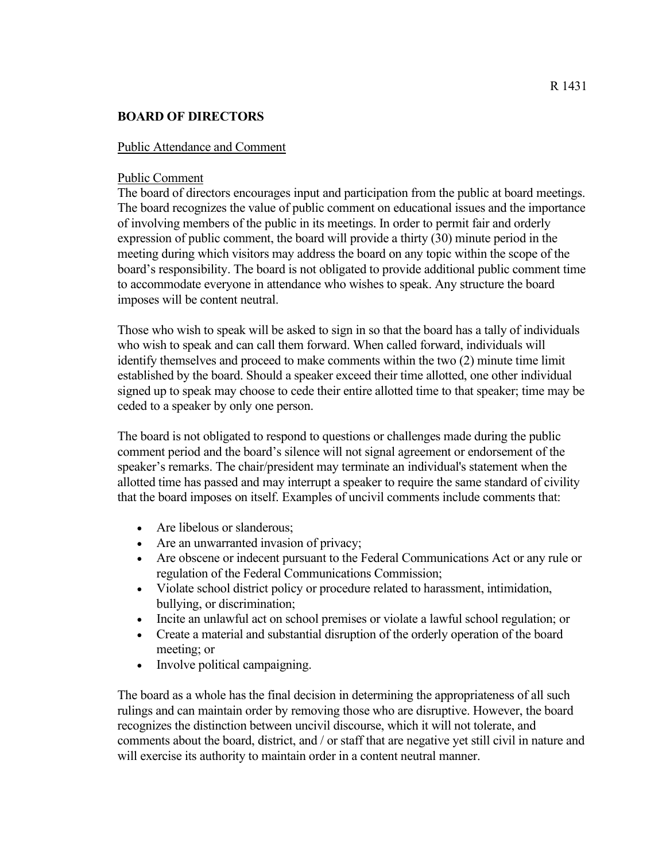## **BOARD OF DIRECTORS**

## Public Attendance and Comment

## Public Comment

The board of directors encourages input and participation from the public at board meetings. The board recognizes the value of public comment on educational issues and the importance of involving members of the public in its meetings. In order to permit fair and orderly expression of public comment, the board will provide a thirty (30) minute period in the meeting during which visitors may address the board on any topic within the scope of the board's responsibility. The board is not obligated to provide additional public comment time to accommodate everyone in attendance who wishes to speak. Any structure the board imposes will be content neutral.

Those who wish to speak will be asked to sign in so that the board has a tally of individuals who wish to speak and can call them forward. When called forward, individuals will identify themselves and proceed to make comments within the two (2) minute time limit established by the board. Should a speaker exceed their time allotted, one other individual signed up to speak may choose to cede their entire allotted time to that speaker; time may be ceded to a speaker by only one person.

The board is not obligated to respond to questions or challenges made during the public comment period and the board's silence will not signal agreement or endorsement of the speaker's remarks. The chair/president may terminate an individual's statement when the allotted time has passed and may interrupt a speaker to require the same standard of civility that the board imposes on itself. Examples of uncivil comments include comments that:

- Are libelous or slanderous:
- Are an unwarranted invasion of privacy;
- Are obscene or indecent pursuant to the Federal Communications Act or any rule or regulation of the Federal Communications Commission;
- Violate school district policy or procedure related to harassment, intimidation, bullying, or discrimination;
- Incite an unlawful act on school premises or violate a lawful school regulation; or
- Create a material and substantial disruption of the orderly operation of the board meeting; or
- Involve political campaigning.

The board as a whole has the final decision in determining the appropriateness of all such rulings and can maintain order by removing those who are disruptive. However, the board recognizes the distinction between uncivil discourse, which it will not tolerate, and comments about the board, district, and / or staff that are negative yet still civil in nature and will exercise its authority to maintain order in a content neutral manner.